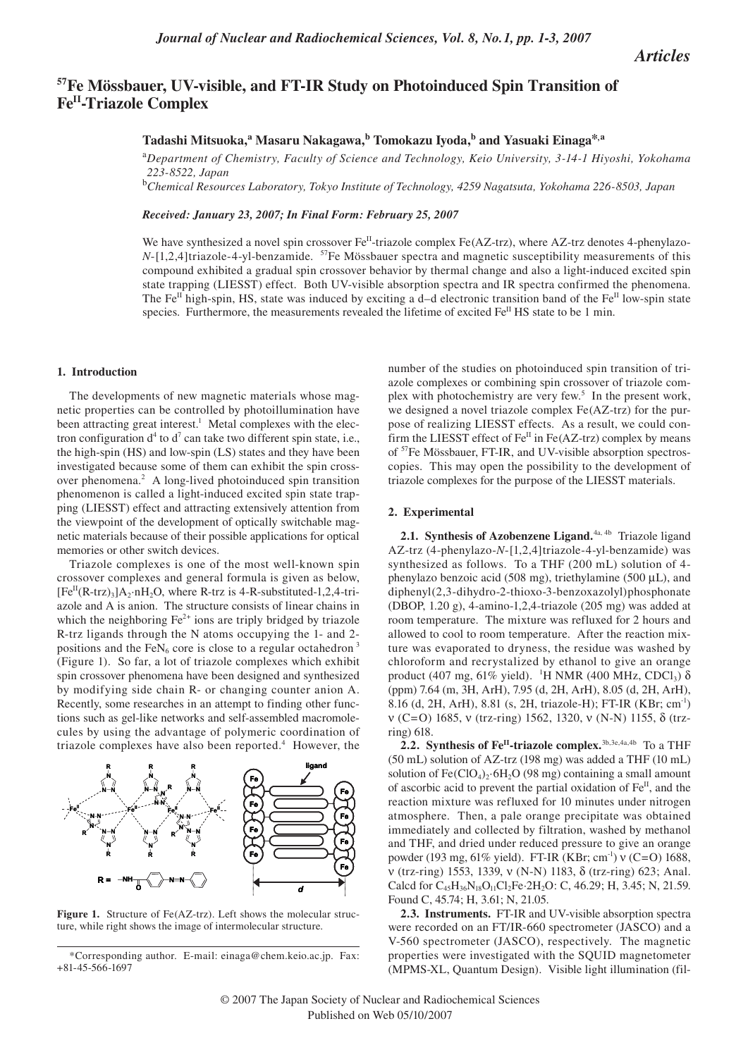*Articles*

# **57Fe Mössbauer, UV-visible, and FT-IR Study on Photoinduced Spin Transition of FeII-Triazole Complex**

# **Tadashi Mitsuoka,<sup>a</sup> Masaru Nakagawa,b Tomokazu Iyoda,b and Yasuaki Einaga\*,a**

<sup>a</sup>*Department of Chemistry, Faculty of Science and Technology, Keio University, 3-14-1 Hiyoshi, Yokohama 223-8522, Japan*

<sup>b</sup>*Chemical Resources Laboratory, Tokyo Institute of Technology, 4259 Nagatsuta, Yokohama 226-8503, Japan*

*Received: January 23, 2007; In Final Form: February 25, 2007*

We have synthesized a novel spin crossover  $Fe<sup>II</sup>$ -triazole complex Fe(AZ-trz), where AZ-trz denotes 4-phenylazo- $N$ -[1,2,4]triazole-4-yl-benzamide. <sup>57</sup>Fe Mössbauer spectra and magnetic susceptibility measurements of this compound exhibited a gradual spin crossover behavior by thermal change and also a light-induced excited spin state trapping (LIESST) effect. Both UV-visible absorption spectra and IR spectra confirmed the phenomena. The Fe<sup>II</sup> high-spin, HS, state was induced by exciting a d–d electronic transition band of the Fe<sup>II</sup> low-spin state species. Furthermore, the measurements revealed the lifetime of excited Fe<sup>II</sup> HS state to be 1 min.

### **1. Introduction**

The developments of new magnetic materials whose magnetic properties can be controlled by photoillumination have been attracting great interest.<sup>1</sup> Metal complexes with the electron configuration  $d^4$  to  $d^7$  can take two different spin state, i.e., the high-spin (HS) and low-spin (LS) states and they have been investigated because some of them can exhibit the spin crossover phenomena.<sup>2</sup> A long-lived photoinduced spin transition phenomenon is called a light-induced excited spin state trapping (LIESST) effect and attracting extensively attention from the viewpoint of the development of optically switchable magnetic materials because of their possible applications for optical memories or other switch devices.

Triazole complexes is one of the most well-known spin crossover complexes and general formula is given as below,  $[Fe^{II}(R-trz)_3]A_2 \cdot nH_2O$ , where R-trz is 4-R-substituted-1,2,4-triazole and A is anion. The structure consists of linear chains in which the neighboring  $Fe<sup>2+</sup>$  ions are triply bridged by triazole R-trz ligands through the N atoms occupying the 1- and 2 positions and the FeN<sub>6</sub> core is close to a regular octahedron<sup>3</sup> (Figure 1). So far, a lot of triazole complexes which exhibit spin crossover phenomena have been designed and synthesized by modifying side chain R- or changing counter anion A. Recently, some researches in an attempt to finding other functions such as gel-like networks and self-assembled macromolecules by using the advantage of polymeric coordination of triazole complexes have also been reported.<sup>4</sup> However, the



Figure 1. Structure of Fe(AZ-trz). Left shows the molecular structure, while right shows the image of intermolecular structure.

number of the studies on photoinduced spin transition of triazole complexes or combining spin crossover of triazole complex with photochemistry are very few.<sup>5</sup> In the present work, we designed a novel triazole complex Fe(AZ-trz) for the purpose of realizing LIESST effects. As a result, we could confirm the LIESST effect of  $Fe<sup>II</sup>$  in Fe(AZ-trz) complex by means of 57Fe Mössbauer, FT-IR, and UV-visible absorption spectroscopies. This may open the possibility to the development of triazole complexes for the purpose of the LIESST materials.

#### **2. Experimental**

**2.1. Synthesis of Azobenzene Ligand.**4a, 4b Triazole ligand AZ-trz (4-phenylazo-*N*-[1,2,4]triazole-4-yl-benzamide) was synthesized as follows. To a THF (200 mL) solution of 4 phenylazo benzoic acid (508 mg), triethylamine (500 µL), and diphenyl(2,3-dihydro-2-thioxo-3-benzoxazolyl)phosphonate (DBOP, 1.20 g), 4-amino-1,2,4-triazole (205 mg) was added at room temperature. The mixture was refluxed for 2 hours and allowed to cool to room temperature. After the reaction mixture was evaporated to dryness, the residue was washed by chloroform and recrystalized by ethanol to give an orange product (407 mg, 61% yield). <sup>1</sup>H NMR (400 MHz, CDCl<sub>3</sub>)  $\delta$ (ppm) 7.64 (m, 3H, ArH), 7.95 (d, 2H, ArH), 8.05 (d, 2H, ArH), 8.16 (d, 2H, ArH), 8.81 (s, 2H, triazole-H); FT-IR (KBr; cm-1) ν (C=O) 1685, ν (trz-ring) 1562, 1320, ν (N-N) 1155, δ (trzring) 618.

2.2. Synthesis of Fe<sup>II</sup>-triazole complex.<sup>3b,3e,4a,4b</sup> To a THF (50 mL) solution of AZ-trz (198 mg) was added a THF (10 mL) solution of  $Fe(CIO<sub>4</sub>)<sub>2</sub>·6H<sub>2</sub>O$  (98 mg) containing a small amount of ascorbic acid to prevent the partial oxidation of  $Fe<sup>H</sup>$ , and the reaction mixture was refluxed for 10 minutes under nitrogen atmosphere. Then, a pale orange precipitate was obtained immediately and collected by filtration, washed by methanol and THF, and dried under reduced pressure to give an orange powder (193 mg, 61% yield). FT-IR (KBr; cm-1) ν (C=O) 1688, ν (trz-ring) 1553, 1339, ν (N-N) 1183, δ (trz-ring) 623; Anal. Calcd for  $C_{45}H_{36}N_{18}O_{11}Cl_2Fe \cdot 2H_2O$ : C, 46.29; H, 3.45; N, 21.59. Found C, 45.74; H, 3.61; N, 21.05.

**2.3. Instruments.** FT-IR and UV-visible absorption spectra were recorded on an FT/IR-660 spectrometer (JASCO) and a V-560 spectrometer (JASCO), respectively. The magnetic properties were investigated with the SQUID magnetometer (MPMS-XL, Quantum Design). Visible light illumination (fil-

<sup>\*</sup>Corresponding author. E-mail: einaga@chem.keio.ac.jp. Fax: +81-45-566-1697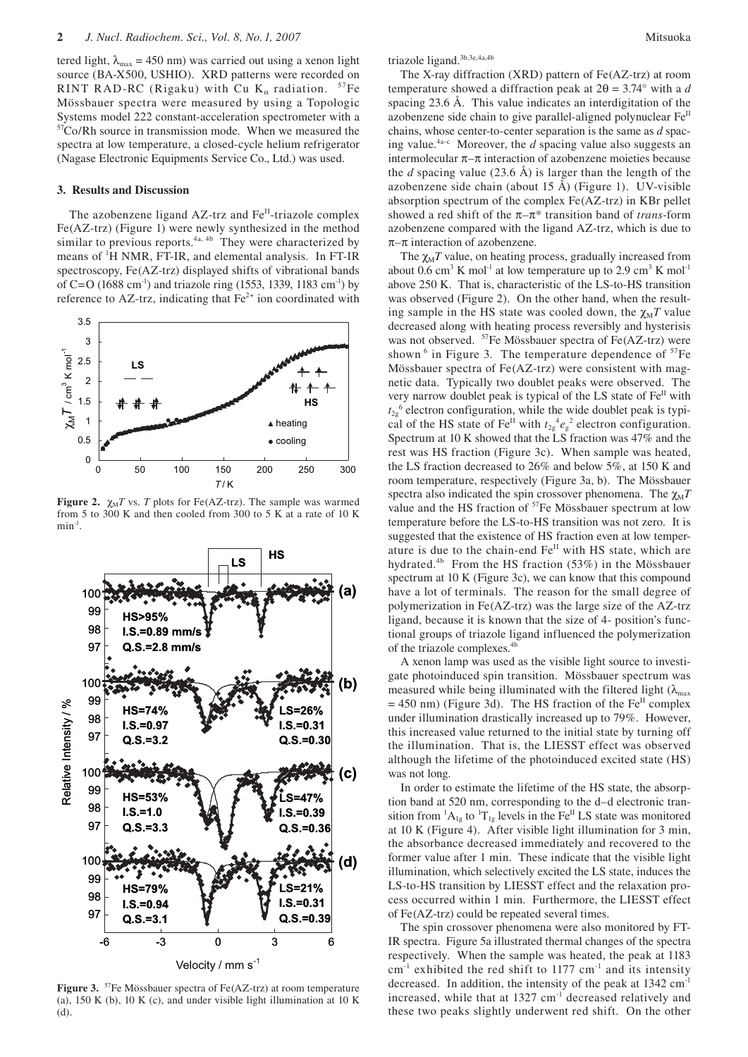tered light,  $\lambda_{\text{max}} = 450 \text{ nm}$ ) was carried out using a xenon light source (BA-X500, USHIO). XRD patterns were recorded on RINT RAD-RC (Rigaku) with Cu K<sub>α</sub> radiation.  $57Fe$ Mössbauer spectra were measured by using a Topologic Systems model 222 constant-acceleration spectrometer with a 57Co/Rh source in transmission mode. When we measured the spectra at low temperature, a closed-cycle helium refrigerator (Nagase Electronic Equipments Service Co., Ltd.) was used.

## **3. Results and Discussion**

The azobenzene ligand  $AZ$ -trz and  $Fe<sup>H</sup>$ -triazole complex Fe(AZ-trz) (Figure 1) were newly synthesized in the method similar to previous reports. $4a, 4b$  They were characterized by means of 1 H NMR, FT-IR, and elemental analysis. In FT-IR spectroscopy, Fe(AZ-trz) displayed shifts of vibrational bands of C=O (1688 cm<sup>-1</sup>) and triazole ring (1553, 1339, 1183 cm<sup>-1</sup>) by reference to AZ-trz, indicating that  $Fe<sup>2+</sup>$  ion coordinated with



**Figure 2.**  $\chi_M T$  vs. *T* plots for Fe(AZ-trz). The sample was warmed from 5 to 300 K and then cooled from 300 to 5 K at a rate of 10 K  $min^{-1}$ .



**Figure 3.** 57Fe Mössbauer spectra of Fe(AZ-trz) at room temperature (a), 150 K (b), 10 K (c), and under visible light illumination at 10 K (d).

triazole ligand.<sup>3b,3e,4a,4b</sup>

The X-ray diffraction (XRD) pattern of Fe(AZ-trz) at room temperature showed a diffraction peak at 2θ = 3.74° with a *d* spacing 23.6 Å. This value indicates an interdigitation of the azobenzene side chain to give parallel-aligned polynuclear Fe<sup>II</sup> chains, whose center-to-center separation is the same as *d* spacing value.<sup>4a-c</sup> Moreover, the  $d$  spacing value also suggests an intermolecular  $\pi-\pi$  interaction of azobenzene moieties because the *d* spacing value (23.6 Å) is larger than the length of the azobenzene side chain (about 15 Å) (Figure 1). UV-visible absorption spectrum of the complex Fe(AZ-trz) in KBr pellet showed a red shift of the π–π\* transition band of *trans*-form azobenzene compared with the ligand AZ-trz, which is due to  $\pi$ –π interaction of azobenzene.

The  $\chi_M T$  value, on heating process, gradually increased from about 0.6 cm<sup>3</sup> K mol<sup>-1</sup> at low temperature up to 2.9 cm<sup>3</sup> K mol<sup>-1</sup> above 250 K. That is, characteristic of the LS-to-HS transition was observed (Figure 2). On the other hand, when the resulting sample in the HS state was cooled down, the  $\chi_M T$  value decreased along with heating process reversibly and hysterisis was not observed. <sup>57</sup>Fe Mössbauer spectra of Fe(AZ-trz) were shown  $6$  in Figure 3. The temperature dependence of  $57Fe$ Mössbauer spectra of Fe(AZ-trz) were consistent with magnetic data. Typically two doublet peaks were observed. The very narrow doublet peak is typical of the LS state of  $Fe<sup>H</sup>$  with  $t_{2g}$ <sup>6</sup> electron configuration, while the wide doublet peak is typical of the HS state of  $\text{Fe}^{\text{II}}$  with  $t_{2g}^4 e_g^2$  electron configuration. Spectrum at 10 K showed that the LS fraction was 47% and the rest was HS fraction (Figure 3c). When sample was heated, the LS fraction decreased to 26% and below 5%, at 150 K and room temperature, respectively (Figure 3a, b). The Mössbauer spectra also indicated the spin crossover phenomena. The  $\chi_M T$ value and the HS fraction of <sup>57</sup>Fe Mössbauer spectrum at low temperature before the LS-to-HS transition was not zero. It is suggested that the existence of HS fraction even at low temperature is due to the chain-end Fe<sup>II</sup> with HS state, which are hydrated.<sup>4b</sup> From the HS fraction (53%) in the Mössbauer spectrum at 10 K (Figure 3c), we can know that this compound have a lot of terminals. The reason for the small degree of polymerization in Fe(AZ-trz) was the large size of the AZ-trz ligand, because it is known that the size of 4- position's functional groups of triazole ligand influenced the polymerization of the triazole complexes.<sup>4b</sup>

A xenon lamp was used as the visible light source to investigate photoinduced spin transition. Mössbauer spectrum was measured while being illuminated with the filtered light  $(\lambda_{\text{max}})$  $= 450$  nm) (Figure 3d). The HS fraction of the Fe<sup>II</sup> complex under illumination drastically increased up to 79%. However, this increased value returned to the initial state by turning off the illumination. That is, the LIESST effect was observed although the lifetime of the photoinduced excited state (HS) was not long.

In order to estimate the lifetime of the HS state, the absorption band at 520 nm, corresponding to the d–d electronic transition from  ${}^{1}A_{1g}$  to  ${}^{1}T_{1g}$  levels in the Fe<sup>II</sup> LS state was monitored at 10 K (Figure 4). After visible light illumination for 3 min, the absorbance decreased immediately and recovered to the former value after 1 min. These indicate that the visible light illumination, which selectively excited the LS state, induces the LS-to-HS transition by LIESST effect and the relaxation process occurred within 1 min. Furthermore, the LIESST effect of Fe(AZ-trz) could be repeated several times.

The spin crossover phenomena were also monitored by FT-IR spectra. Figure 5a illustrated thermal changes of the spectra respectively. When the sample was heated, the peak at 1183  $cm^{-1}$  exhibited the red shift to 1177  $cm^{-1}$  and its intensity decreased. In addition, the intensity of the peak at 1342 cm-1 increased, while that at 1327 cm-1 decreased relatively and these two peaks slightly underwent red shift. On the other